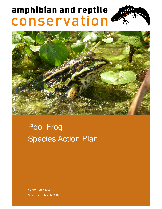# amphibian and reptile conservation



# Pool Frog Species Action Plan

Version: July 2009 Next Review March 2010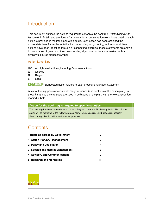## **Introduction**

This document outlines the actions required to conserve the pool frog (Pelophylax (Rana) lessonae) in Britain and provides a framework for all conservation work. More detail of each action is provided in the implementation guide. Each action has been assigned the appropriate level for implementation i.e. United Kingdom, country, region or local. Key actions have been identified through a 'signposting' exercise; these statements are shown in two shades of green and the corresponding signposted actions are marked with a similarly coloured signpost symbol.

#### Action Level Key

UK All high-level actions, including European actions

- C Country
- R Region
- L Local

sign post Signposted action related to each preceding Signpost Statement

A few of the signposts cover a wide range of issues (and sections of the action plan). In these instances the signposts are used in both parts of the plan, with the relevant section marked in bold.

#### **Action for the pool frog is targeted to specific counties**

The pool frog has been reintroduced to 1 site in England under the Biodiversity Action Plan. Further action will be restricted to the following areas: Norfolk, Lincolnshire, Cambridgeshire, possibly Peterborough, Bedfordshire, and Northamptonshire.

### **Contents**

| <b>Targets as agreed by Government</b> |    |
|----------------------------------------|----|
| 1. Action Plan/SAP Management          | з  |
| 2. Policy and Legislation              |    |
| 3. Species and Habitat Management      |    |
| 4. Advisory and Communications         | 9  |
| 5. Research and Monitoring             | 11 |

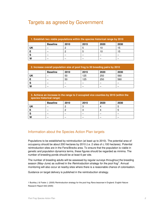## Targets as agreed by Government

| 1. Establish two viable populations within the species historical range by 2010 |  |  |  |    |    |
|---------------------------------------------------------------------------------|--|--|--|----|----|
| <b>Baseline</b><br>2010<br>2020<br>2030<br>2015                                 |  |  |  |    |    |
| UK                                                                              |  |  |  | 10 | 15 |
|                                                                                 |  |  |  |    | 15 |
|                                                                                 |  |  |  |    |    |
| W                                                                               |  |  |  |    |    |

| 2. Increase overall population size of pool frog to 50 breeding pairs by 2010 |  |    |     |     |     |
|-------------------------------------------------------------------------------|--|----|-----|-----|-----|
| 2030<br>2020<br><b>Baseline</b><br>2010<br>2015                               |  |    |     |     |     |
| UK                                                                            |  | 50 | 125 | 250 | 560 |
|                                                                               |  | 50 | 125 | 250 | 560 |
|                                                                               |  |    |     |     |     |
| W                                                                             |  |    |     |     |     |

| 3. Achieve an increase in the range to 2 occupied vice counties by 2010 (within the<br>species historical range) |                 |      |      |      |      |
|------------------------------------------------------------------------------------------------------------------|-----------------|------|------|------|------|
|                                                                                                                  | <b>Baseline</b> | 2010 | 2015 | 2020 | 2030 |
| UK                                                                                                               |                 |      | v.   |      |      |
|                                                                                                                  |                 |      |      |      |      |
|                                                                                                                  |                 |      |      |      |      |
|                                                                                                                  |                 |      |      |      |      |

#### Information about the Species Action Plan targets

Populations to be established by reintroduction (at least up to 2010). The potential area of occupancy should be about 200 hectares by 2010 (i.e. 2 sites of c.100 hectares). Potential reintroduction sites are in the Fens/Brecks area. To ensure that the population is viable in genetic and population dynamics terms, these figures should be regarded as minima. The number of breeding ponds should be at least 6 per site.

The number of breeding adults will be assessed by regular surveys throughout the breeding season (May–June) as outlined in the *Reintroduction strategy for the pool frog*<sup>1</sup>. Annual monitoring will also occur at nearby sites where there is a reasonable chance of colonisation.

Guidance on target delivery is published in the reintroduction strategy.

1 Buckley J & Foster J. (2005) Reintroduction strategy for the pool frog Rana lessonae in England. English Nature Research Report 642 (2005)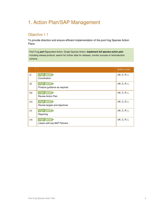# 1. Action Plan/SAP Management

### Objective 1.1

To provide direction and ensure efficient implementation of the pool frog Species Action Plans.

Pool Frog **part** Signposted Action: Single Species Action: **Implement full species action plan** including release protocol, search for further sites for releases, monitor success of reintroduction scheme.

|       |                                                  | <b>Action Level</b> |
|-------|--------------------------------------------------|---------------------|
| (i)   | sign post<br>Coordination                        | <b>UK, C, R, L</b>  |
| (ii)  | sign <i>post</i><br>Produce guidance as required | <b>UK, C, R, L</b>  |
| (iii) | sign post<br><b>Review Action Plan</b>           | <b>UK, C, R, L</b>  |
| (iv)  | sign post<br>Review targets and objectives       | <b>UK, C, R, L</b>  |
| (v)   | sign post<br>Reporting                           | <b>UK, C, R, L</b>  |
| (vi)  | sign post<br>Liaison with key BAP Partners       | <b>UK, C, R, L</b>  |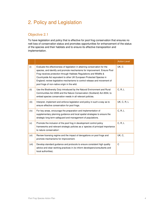# 2. Policy and Legislation

### Objective 2.1

To have legislation and policy that is effective for pool frog conservation that ensures no nett loss of conservation status and promotes opportunities for enhancement of the status of the species and their habitats and to ensure its effective transposition and implementation.

|       |                                                                                                                                                                                                                                                                                                                                                                                                                                       | <b>Action Level</b> |
|-------|---------------------------------------------------------------------------------------------------------------------------------------------------------------------------------------------------------------------------------------------------------------------------------------------------------------------------------------------------------------------------------------------------------------------------------------|---------------------|
| (i)   | Evaluate the effectiveness of legislation in attaining conservation for the<br>species, and identify and promote mechanisms for improvement. Ensure Pool<br>Frog receives protection through Habitats Regulations and Wildlife &<br>Countryside Act equivalent to other UK European Protected Species in<br>England; review legislative mechanisms to control release and movement of<br>pool frogs of non-native origin in the wild. | UK, C               |
| (ii)  | Use the Biodiversity Duty introduced by the Natural Environment and Rural<br>Communities Act 2006 and the Nature Conservation (Scotland) Act 2004, to<br>embed species conservation needs in all relevant policies.                                                                                                                                                                                                                   | C, R, L             |
| (iii) | Interpret, implement and enforce legislation and policy in such a way as to<br>ensure effective conservation for pool frogs.                                                                                                                                                                                                                                                                                                          | <b>UK, C, R, L</b>  |
| (iv)  | For key areas, encourage the preparation and implementation of<br>supplementary planning guidance and local spatial strategies to ensure the<br>strategic long term safeguard and management of populations.                                                                                                                                                                                                                          | C, R, L             |
| (v)   | Promote the inclusion of the pool frog in development control policy<br>frameworks and relevant strategic policies as a 'species of principal importance<br>to nature conservation'.                                                                                                                                                                                                                                                  | C, R, L             |
| (vi)  | Review licensing regime and the impact of derogations on pool frogs and<br>promote mechanisms for improvement.                                                                                                                                                                                                                                                                                                                        | UK, C,              |
| (vii) | Develop standard guidance and protocols to ensure consistent high quality<br>advice and clear working practices in (to inform developers/consultants and<br>local authorities).                                                                                                                                                                                                                                                       | $\mathsf{C}$        |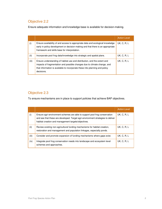### Objective 2.2

Ensure adequate information and knowledge base is available for decision-making.

|       |                                                                                                                                                                                                                                                   | <b>Action Level</b> |
|-------|---------------------------------------------------------------------------------------------------------------------------------------------------------------------------------------------------------------------------------------------------|---------------------|
| (i)   | Ensure availability of and access to appropriate data and ecological knowledge<br>early in policy development or decision-making and that there is an appropriate<br>framework and skills base for interpretation.                                | <b>UK, C, R, L</b>  |
| (ii)  | Incorporate pool frog data/knowledge into strategic and spatial plans.                                                                                                                                                                            | UK, C, R, L         |
| (iii) | Ensure understanding of habitat use and distribution, and the extent and<br>impacts of fragmentation and possible changes due to climate change, and<br>that information is available to incorporate these into planning and policy<br>decisions. | <b>UK, C, R, L</b>  |

### Objective 2.3

To ensure mechanisms are in place to support policies that achieve BAP objectives.

|       |                                                                                                                                                                                                                      | <b>Action Level</b> |
|-------|----------------------------------------------------------------------------------------------------------------------------------------------------------------------------------------------------------------------|---------------------|
| (i)   | Ensure agri-environment schemes are able to support pool frog conservation<br>and see that these are developed. Target agri-environment strategies to deliver<br>habitat creation and management targets/objectives. | <b>UK, C, R, L</b>  |
| (ii)  | Review existing non-agricultural funding mechanisms for habitat creation,<br>restoration and management and population linkages, especially ponds.                                                                   | <b>UK, C, R, L</b>  |
| (iii) | Consider and promote expansion of funding mechanisms where gaps exist.                                                                                                                                               | <b>UK, C, R, L</b>  |
| (iv)  | Integrate pool frog conservation needs into landscape and ecosystem level<br>schemes and approaches.                                                                                                                 | <b>UK, C, R, L</b>  |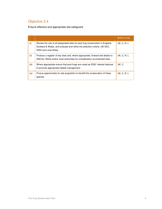### Objective 2.4

Ensure effective and appropriate site safeguard.

|       |                                                                                                                                                                                         | <b>Action Level</b> |
|-------|-----------------------------------------------------------------------------------------------------------------------------------------------------------------------------------------|---------------------|
| (i)   | Review the role of all designated sites for pool frog conservation in England,<br>Scotland & Wales, and evaluate and refine the selection criteria. (All SAC,<br>SSSI and Local Sites). | <b>UK, C, R, L</b>  |
| (ii)  | Produce a register of key sites and, where appropriate, forward site details to<br>SNCOs, NGOs and/or local authorities for consideration as protected sites.                           | <b>UK, C, R, L</b>  |
| (iii) | Where appropriate ensure that pool frogs are noted as SSSI 'interest features'<br>to promote appropriate habitat management.                                                            | UK.C                |
| (iv)  | Pursue opportunities for site acquisition to benefit the conservation of these<br>species.                                                                                              | <b>UK, C, R, L</b>  |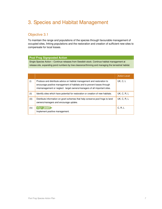# 3. Species and Habitat Management

#### Objective 3.1

To maintain the range and populations of the species through favourable management of occupied sites, linking populations and the restoration and creation of sufficient new sites to compensate for local losses.

#### **Pool Frog Signposted Action**

Single Species Action – Continue releases from Swedish stock. Continue habitat management at release site, expanding pond numbers by tree clearance/thinning and managing the terrestrial habitat.

|       |                                                                                                                                                                                                                               | <b>Action Level</b> |
|-------|-------------------------------------------------------------------------------------------------------------------------------------------------------------------------------------------------------------------------------|---------------------|
| (i)   | Produce and distribute advice on habitat management and restoration to<br>encourage positive management of habitats and to prevent losses through<br>mismanagement or neglect: target owners/managers of all important sites. | <b>UK, C, L</b>     |
| (ii)  | Identify sites which have potential for restoration or creation of new habitats.                                                                                                                                              | UK, C, R, L         |
| (iii) | Distribute information on grant schemes that help conserve pool frogs to land<br>owners/managers and encourage uptake.                                                                                                        | UK, C, R, L         |
| (iv)  | sign <i>post</i><br>Implement positive management.                                                                                                                                                                            | C, R, L             |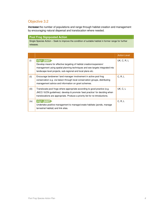### Objective 3.2

**Increase** the number of populations and range through habitat creation and management by encouraging natural dispersal and translocation where needed.

#### **Pool Frog Signposted Action**

Single Species Action – Seek to improve the condition of suitable habitat in former range for further releases.

|       |                                                                                                                                                                                                                                          | <b>Action Level</b> |
|-------|------------------------------------------------------------------------------------------------------------------------------------------------------------------------------------------------------------------------------------------|---------------------|
| (i)   | sign post<br>Develop means for effective targeting of habitat creation/expansion/<br>management using spatial planning techniques and see targets integrated into<br>landscape level projects, sub-regional and local plans etc.         | <b>UK, C, R, L</b>  |
| (ii)  | Encourage landowner/ land manager involvement in active pool frog<br>conservation e.g. via liaison through local conservation groups, distributing<br>management advice and information on grant schemes.                                | C, R, L             |
| (iii) | Translocate pool frogs where appropriate according to good practice (e.g.<br>JNCC/IUCN guidelines): develop & promote 'best practice' for deciding when<br>translocations are appropriate. Produce a priority list for re-introductions. | <b>UK, C, L</b>     |
| (iv)  | sian post<br>Undertake positive management to manage/create habitats (ponds, manage<br>terrestrial habitat) and link sites.                                                                                                              | C, R, L             |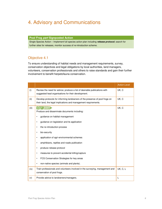# 4. Advisory and Communications

#### **Pool Frog part Signposted Action**

Single Species Action – Implement full species action plan including **release protocol**, search for further sites for releases, monitor success of re-introduction scheme.

#### Objective 4.1

To ensure understanding of habitat needs and management requirements, survey, conservation objectives and legal obligations by local authorities, land managers, volunteers, conservation professionals and others to raise standards and gain their further involvement to benefit herpetofauna conservation.

|       |                                                                                                                                                                                                                                                                                                                                                                                                                                                                                                                                                                                                      | <b>Action Level</b> |
|-------|------------------------------------------------------------------------------------------------------------------------------------------------------------------------------------------------------------------------------------------------------------------------------------------------------------------------------------------------------------------------------------------------------------------------------------------------------------------------------------------------------------------------------------------------------------------------------------------------------|---------------------|
| (i)   | Review the need for advice; produce a list of desirable publications with<br>suggested lead organisations for their development.                                                                                                                                                                                                                                                                                                                                                                                                                                                                     | UK, C               |
| (ii)  | Develop protocols for informing landowners of the presence of pool frogs on<br>their land, the legal implications and management requirements.                                                                                                                                                                                                                                                                                                                                                                                                                                                       | UK, C               |
| (iii) | sign <i>post</i><br>Produce and disseminate documents including:<br>guidance on habitat management<br>$\bullet$<br>guidance on legislation and its application<br>$\bullet$<br>the re-introduction process<br>$\bullet$<br>bio-security<br>$\bullet$<br>application of agri-environmental schemes<br>$\bullet$<br>amphibians, reptiles and roads publication<br>$\bullet$<br>produce release protocol<br>$\bullet$<br>measures to prevent accidental killing/capture<br>$\bullet$<br>FCS Conservation Strategies for key areas<br>$\bullet$<br>non-native species (animals and plants).<br>$\bullet$ | UK, C               |
| (iv)  | Train professionals and volunteers involved in the surveying, management and<br>conservation of pool frogs.                                                                                                                                                                                                                                                                                                                                                                                                                                                                                          | UK, C, L            |
| (v)   | Provide advice to landowners/managers.                                                                                                                                                                                                                                                                                                                                                                                                                                                                                                                                                               | L                   |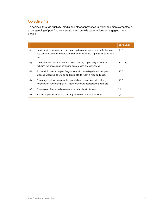### Objective 4.2

To achieve, through publicity, media and other approaches, a wider and more sympathetic understanding of pool frog conservation and provide opportunities for engaging more people.

|       |                                                                                                                                                                    | <b>Action Level</b> |
|-------|--------------------------------------------------------------------------------------------------------------------------------------------------------------------|---------------------|
| (i)   | Identify main audiences and messages to be conveyed to them to further pool<br>frog conservation and the appropriate mechanisms and approaches to achieve<br>this. | UK, C, L            |
| (ii)  | Undertake activities to further the understanding of pool frog conservation<br>including the provision of seminars, conferences and workshops.                     | <b>UK, C, R, L</b>  |
| (iii) | Produce information on pool frog conservation including via articles, press<br>releases, websites, television and radio etc. to reach a wide audience.             | UK, C, L            |
| (iv)  | Encourage positive interpretation material and displays about pool frog<br>conservation at country parks, visitor centres and zoological gardens etc.              | UK, C, L            |
| (v)   | Develop pool frog based environmental education initiatives.                                                                                                       | C, L                |
| (vi)  | Provide opportunities to see pool frog in the wild and their habitats.                                                                                             | C, L                |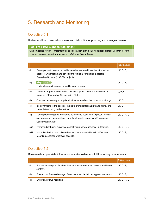# 5. Research and Monitoring

### Objective 5.1

Understand the conservation status and distribution of pool frog and changes therein.

#### **Pool Frog part Signpost Statement**

Single Species Action – Implement full species action plan including release protocol, search for further sites for releases, **monitor success of reintroduction scheme**.

|        |                                                                                                                                                                                       | <b>Action Level</b> |
|--------|---------------------------------------------------------------------------------------------------------------------------------------------------------------------------------------|---------------------|
| (i)    | Develop monitoring and surveillance schemes to address the information<br>needs. Further refine and develop the National Amphibian & Reptile<br>Recording Scheme (NARRS) projects.    | <b>UK, C, R, L</b>  |
| (ii)   | sign <i>post</i><br>Undertake monitoring and surveillance exercises.                                                                                                                  | <b>UK, C, R, L</b>  |
| (iii)  | Define appropriate measurable units/descriptors of status and develop a<br>measure of Favourable Conservation Status.                                                                 | C, R, L             |
| (iv)   | Consider developing appropriate indicators to reflect the status of pool frogs.                                                                                                       | UK, C               |
| (v)    | Identify threats to the species, the risks of incidental capture and killing, and<br>the activities that give rise to them.                                                           | UK, C,              |
| (vi)   | Develop recording and monitoring schemes to assess the impact of threats<br>e.g. incidental capture/killing, and relate these to impacts on Favourable<br><b>Conservation Status.</b> | <b>UK, C, R, L</b>  |
| (vii)  | Promote distribution surveys amongst volunteer groups, local authorities.                                                                                                             | <b>UK, C, R, L</b>  |
| (viii) | Make distribution data collected under contract available to local/national<br>recording schemes wherever possible.                                                                   | <b>UK, C, R, L</b>  |

### Objective 5.2

Disseminate appropriate information to stakeholders and fulfil reporting requirements.

|       |                                                                                           | <b>Action Level</b> |
|-------|-------------------------------------------------------------------------------------------|---------------------|
| (i)   | Prepare an analysis of stakeholder information needs as part of surveillance<br>strategy. | <b>UK, C, R, L</b>  |
| (ii)  | Ensure data from wide range of sources is available in an appropriate format.             | <b>UK, C, R, L</b>  |
| (iii) | Undertake status reporting.                                                               | UK, C, R, L         |